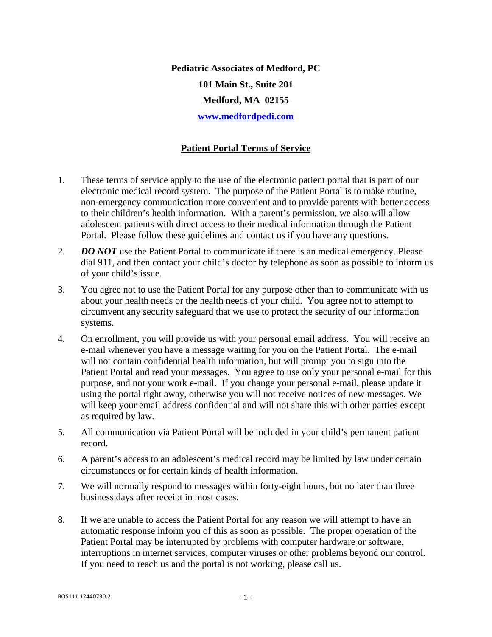**Pediatric Associates of Medford, PC 101 Main St., Suite 201 Medford, MA 02155 www.medfordpedi.com**

## **Patient Portal Terms of Service**

- 1. These terms of service apply to the use of the electronic patient portal that is part of our electronic medical record system. The purpose of the Patient Portal is to make routine, non-emergency communication more convenient and to provide parents with better access to their children's health information. With a parent's permission, we also will allow adolescent patients with direct access to their medical information through the Patient Portal. Please follow these guidelines and contact us if you have any questions.
- 2. *DO NOT* use the Patient Portal to communicate if there is an medical emergency. Please dial 911, and then contact your child's doctor by telephone as soon as possible to inform us of your child's issue.
- 3. You agree not to use the Patient Portal for any purpose other than to communicate with us about your health needs or the health needs of your child. You agree not to attempt to circumvent any security safeguard that we use to protect the security of our information systems.
- 4. On enrollment, you will provide us with your personal email address. You will receive an e-mail whenever you have a message waiting for you on the Patient Portal. The e-mail will not contain confidential health information, but will prompt you to sign into the Patient Portal and read your messages. You agree to use only your personal e-mail for this purpose, and not your work e-mail. If you change your personal e-mail, please update it using the portal right away, otherwise you will not receive notices of new messages. We will keep your email address confidential and will not share this with other parties except as required by law.
- 5. All communication via Patient Portal will be included in your child's permanent patient record.
- 6. A parent's access to an adolescent's medical record may be limited by law under certain circumstances or for certain kinds of health information.
- 7. We will normally respond to messages within forty-eight hours, but no later than three business days after receipt in most cases.
- 8. If we are unable to access the Patient Portal for any reason we will attempt to have an automatic response inform you of this as soon as possible. The proper operation of the Patient Portal may be interrupted by problems with computer hardware or software, interruptions in internet services, computer viruses or other problems beyond our control. If you need to reach us and the portal is not working, please call us.